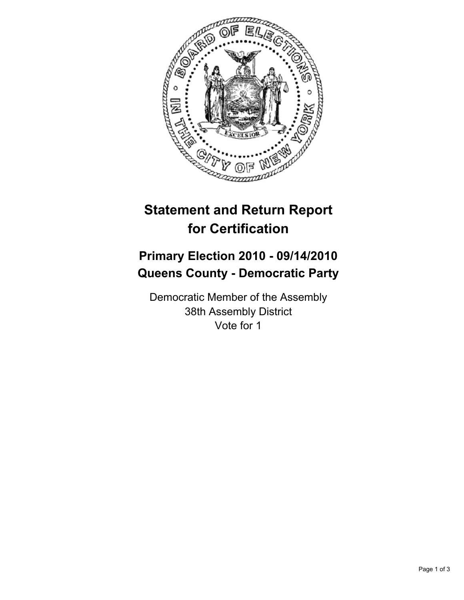

# **Statement and Return Report for Certification**

## **Primary Election 2010 - 09/14/2010 Queens County - Democratic Party**

Democratic Member of the Assembly 38th Assembly District Vote for 1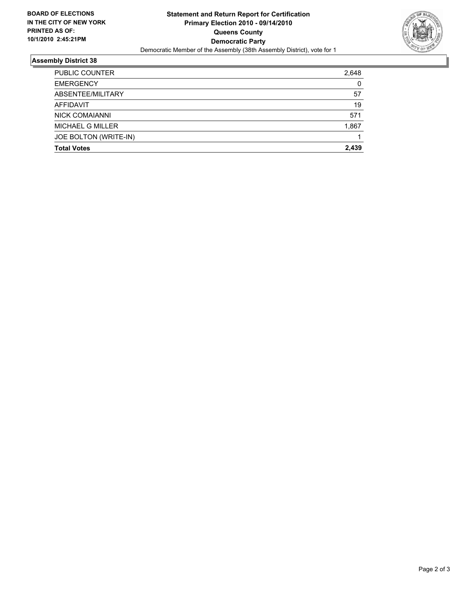

#### **Assembly District 38**

| <b>Total Votes</b>    | 2.439 |
|-----------------------|-------|
| JOE BOLTON (WRITE-IN) |       |
| MICHAEL G MILLER      | 1,867 |
| <b>NICK COMAIANNI</b> | 571   |
| AFFIDAVIT             | 19    |
| ABSENTEE/MILITARY     | 57    |
| <b>EMERGENCY</b>      | 0     |
| PUBLIC COUNTER        | 2,648 |
|                       |       |